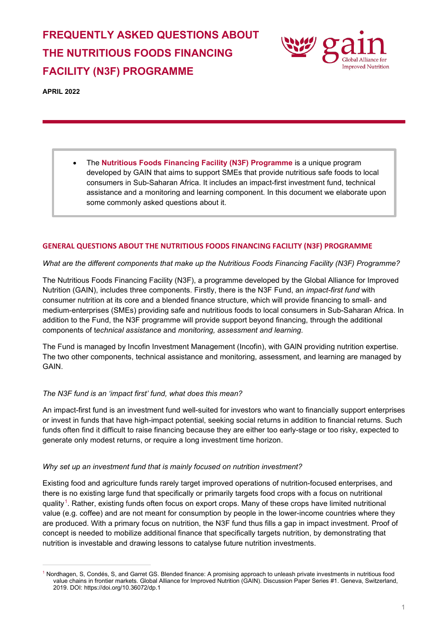# **FREQUENTLY ASKED QUESTIONS ABOUT THE NUTRITIOUS FOODS FINANCING FACILITY (N3F) PROGRAMME**



**APRIL 2022**

• The **Nutritious Foods Financing Facility (N3F) Programme** is a unique program developed by GAIN that aims to support SMEs that provide nutritious safe foods to local consumers in Sub-Saharan Africa. It includes an impact-first investment fund, technical assistance and a monitoring and learning component. In this document we elaborate upon some commonly asked questions about it.

## **GENERAL QUESTIONS ABOUT THE NUTRITIOUS FOODS FINANCING FACILITY (N3F) PROGRAMME**

#### *What are the different components that make up the Nutritious Foods Financing Facility (N3F) Programme?*

The Nutritious Foods Financing Facility (N3F), a programme developed by the Global Alliance for Improved Nutrition (GAIN), includes three components. Firstly, there is the N3F Fund, an *impact-first fund* with consumer nutrition at its core and a blended finance structure, which will provide financing to small- and medium-enterprises (SMEs) providing safe and nutritious foods to local consumers in Sub-Saharan Africa. In addition to the Fund, the N3F programme will provide support beyond financing, through the additional components of t*echnical assistance* and *monitoring, assessment and learning*.

The Fund is managed by Incofin Investment Management (Incofin), with GAIN providing nutrition expertise. The two other components, technical assistance and monitoring, assessment, and learning are managed by GAIN.

#### *The N3F fund is an 'impact first' fund, what does this mean?*

An impact-first fund is an investment fund well-suited for investors who want to financially support enterprises or invest in funds that have high-impact potential, seeking social returns in addition to financial returns. Such funds often find it difficult to raise financing because they are either too early-stage or too risky, expected to generate only modest returns, or require a long investment time horizon.

#### *Why set up an investment fund that is mainly focused on nutrition investment?*

Existing food and agriculture funds rarely target improved operations of nutrition-focused enterprises, and there is no existing large fund that specifically or primarily targets food crops with a focus on nutritional quality<sup>[1](#page-0-0)</sup>. Rather, existing funds often focus on export crops. Many of these crops have limited nutritional value (e.g. coffee) and are not meant for consumption by people in the lower-income countries where they are produced. With a primary focus on nutrition, the N3F fund thus fills a gap in impact investment. Proof of concept is needed to mobilize additional finance that specifically targets nutrition, by demonstrating that nutrition is investable and drawing lessons to catalyse future nutrition investments.

<span id="page-0-0"></span><sup>1</sup> Nordhagen, S, Condés, S, and Garret GS. Blended finance: A promising approach to unleash private investments in nutritious food value chains in frontier markets. Global Alliance for Improved Nutrition (GAIN). Discussion Paper Series #1. Geneva, Switzerland, 2019. DOI: https://doi.org/10.36072/dp.1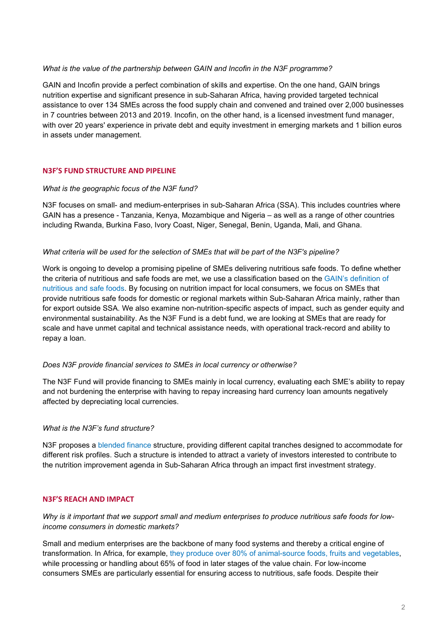## *What is the value of the partnership between GAIN and Incofin in the N3F programme?*

GAIN and Incofin provide a perfect combination of skills and expertise. On the one hand, GAIN brings nutrition expertise and significant presence in sub-Saharan Africa, having provided targeted technical assistance to over 134 SMEs across the food supply chain and convened and trained over 2,000 businesses in 7 countries between 2013 and 2019. Incofin, on the other hand, is a licensed investment fund manager, with over 20 years' experience in private debt and equity investment in emerging markets and 1 billion euros in assets under management.

## **N3F'S FUND STRUCTURE AND PIPELINE**

## *What is the geographic focus of the N3F fund?*

N3F focuses on small- and medium-enterprises in sub-Saharan Africa (SSA). This includes countries where GAIN has a presence - Tanzania, Kenya, Mozambique and Nigeria – as well as a range of other countries including Rwanda, Burkina Faso, Ivory Coast, Niger, Senegal, Benin, Uganda, Mali, and Ghana.

## *What criteria will be used for the selection of SMEs that will be part of the N3F's pipeline?*

Work is ongoing to develop a promising pipeline of SMEs delivering nutritious safe foods. To define whether the criteria of nutritious and safe foods are met, we use a classification based on the [GAIN's definition of](https://www.gainhealth.org/sites/default/files/publications/documents/gain-briefing-paper-series-8-gain-definition-of-nutritious-and-safe-foods.pdf)  [nutritious and safe foods.](https://www.gainhealth.org/sites/default/files/publications/documents/gain-briefing-paper-series-8-gain-definition-of-nutritious-and-safe-foods.pdf) By focusing on nutrition impact for local consumers, we focus on SMEs that provide nutritious safe foods for domestic or regional markets within Sub-Saharan Africa mainly, rather than for export outside SSA. We also examine non-nutrition-specific aspects of impact, such as gender equity and environmental sustainability. As the N3F Fund is a debt fund, we are looking at SMEs that are ready for scale and have unmet capital and technical assistance needs, with operational track-record and ability to repay a loan.

## *Does N3F provide financial services to SMEs in local currency or otherwise?*

The N3F Fund will provide financing to SMEs mainly in local currency, evaluating each SME's ability to repay and not burdening the enterprise with having to repay increasing hard currency loan amounts negatively affected by depreciating local currencies.

## *What is the N3F's fund structure?*

N3F proposes a [blended finance](https://www.convergence.finance/blended-finance) structure, providing different capital tranches designed to accommodate for different risk profiles. Such a structure is intended to attract a variety of investors interested to contribute to the nutrition improvement agenda in Sub-Saharan Africa through an impact first investment strategy.

# **N3F'S REACH AND IMPACT**

*Why is it important that we support small and medium enterprises to produce nutritious safe foods for lowincome consumers in domestic markets?* 

Small and medium enterprises are the backbone of many food systems and thereby a critical engine of transformation. In Africa, for example, [they produce over 80% of animal-source foods, fruits and vegetables,](https://doi.org/10.36072/wp.2) while processing or handling about 65% of food in later stages of the value chain. For low-income consumers SMEs are particularly essential for ensuring access to nutritious, safe foods. Despite their